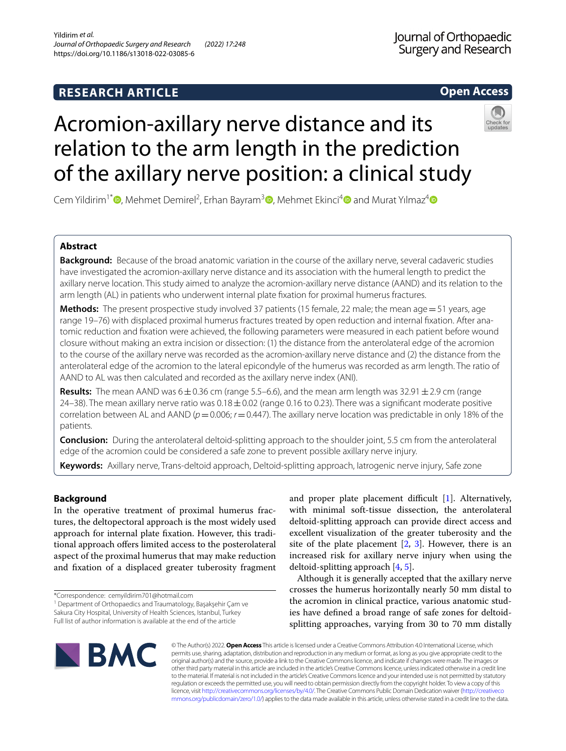# **RESEARCH ARTICLE**

**Open Access**

# Acromion-axillary nerve distance and its relation to the arm length in the prediction of the axillary nerve position: a clinical study



Cem Yildirim<sup>1\*</sup> <sup>(1</sup>)[,](http://orcid.org/0000-0003-4540-1927) Mehmet Demirel<sup>2</sup>[,](http://orcid.org/0000-0002-9426-2831) Erhan Bayram<sup>3</sup> (1), Mehmet Ekinci<sup>[4](http://orcid.org/0000-0001-6468-7647)</sup> (1) and Murat Yılmaz<sup>4</sup>

# **Abstract**

**Background:** Because of the broad anatomic variation in the course of the axillary nerve, several cadaveric studies have investigated the acromion-axillary nerve distance and its association with the humeral length to predict the axillary nerve location. This study aimed to analyze the acromion-axillary nerve distance (AAND) and its relation to the arm length (AL) in patients who underwent internal plate fxation for proximal humerus fractures.

**Methods:** The present prospective study involved 37 patients (15 female, 22 male; the mean age = 51 years, age range 19–76) with displaced proximal humerus fractures treated by open reduction and internal fxation. After anatomic reduction and fxation were achieved, the following parameters were measured in each patient before wound closure without making an extra incision or dissection: (1) the distance from the anterolateral edge of the acromion to the course of the axillary nerve was recorded as the acromion-axillary nerve distance and (2) the distance from the anterolateral edge of the acromion to the lateral epicondyle of the humerus was recorded as arm length. The ratio of AAND to AL was then calculated and recorded as the axillary nerve index (ANI).

**Results:** The mean AAND was  $6 \pm 0.36$  cm (range 5.5–6.6), and the mean arm length was 32.91 $\pm$ 2.9 cm (range 24–38). The mean axillary nerve ratio was  $0.18\pm0.02$  (range 0.16 to 0.23). There was a significant moderate positive correlation between AL and AAND ( $p$  = 0.006;  $r$  = 0.447). The axillary nerve location was predictable in only 18% of the patients.

**Conclusion:** During the anterolateral deltoid-splitting approach to the shoulder joint, 5.5 cm from the anterolateral edge of the acromion could be considered a safe zone to prevent possible axillary nerve injury.

**Keywords:** Axillary nerve, Trans-deltoid approach, Deltoid-splitting approach, Iatrogenic nerve injury, Safe zone

# **Background**

In the operative treatment of proximal humerus fractures, the deltopectoral approach is the most widely used approach for internal plate fxation. However, this traditional approach ofers limited access to the posterolateral aspect of the proximal humerus that may make reduction and fxation of a displaced greater tuberosity fragment

<sup>1</sup> Department of Orthopaedics and Traumatology, Başakşehir Çam ve Sakura City Hospital, University of Health Sciences, Istanbul, Turkey Full list of author information is available at the end of the article

and proper plate placement difficult  $[1]$  $[1]$ . Alternatively, with minimal soft-tissue dissection, the anterolateral deltoid-splitting approach can provide direct access and excellent visualization of the greater tuberosity and the site of the plate placement  $[2, 3]$  $[2, 3]$  $[2, 3]$  $[2, 3]$ . However, there is an increased risk for axillary nerve injury when using the deltoid-splitting approach [\[4](#page-4-3), [5\]](#page-4-4).

Although it is generally accepted that the axillary nerve crosses the humerus horizontally nearly 50 mm distal to the acromion in clinical practice, various anatomic studies have defned a broad range of safe zones for deltoidsplitting approaches, varying from 30 to 70 mm distally



© The Author(s) 2022. **Open Access** This article is licensed under a Creative Commons Attribution 4.0 International License, which permits use, sharing, adaptation, distribution and reproduction in any medium or format, as long as you give appropriate credit to the original author(s) and the source, provide a link to the Creative Commons licence, and indicate if changes were made. The images or other third party material in this article are included in the article's Creative Commons licence, unless indicated otherwise in a credit line to the material. If material is not included in the article's Creative Commons licence and your intended use is not permitted by statutory regulation or exceeds the permitted use, you will need to obtain permission directly from the copyright holder. To view a copy of this licence, visit [http://creativecommons.org/licenses/by/4.0/.](http://creativecommons.org/licenses/by/4.0/) The Creative Commons Public Domain Dedication waiver ([http://creativeco](http://creativecommons.org/publicdomain/zero/1.0/) [mmons.org/publicdomain/zero/1.0/](http://creativecommons.org/publicdomain/zero/1.0/)) applies to the data made available in this article, unless otherwise stated in a credit line to the data.

<sup>\*</sup>Correspondence: cemyildirim701@hotmail.com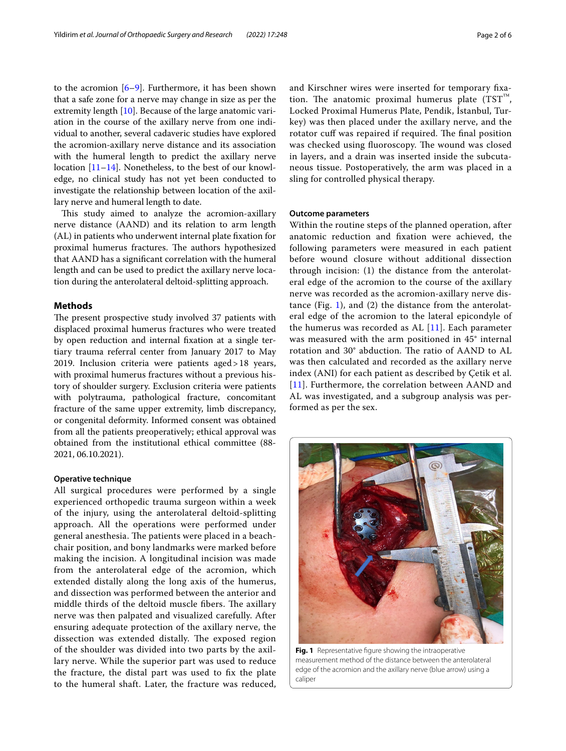to the acromion  $[6-9]$  $[6-9]$ . Furthermore, it has been shown that a safe zone for a nerve may change in size as per the extremity length [[10](#page-4-7)]. Because of the large anatomic variation in the course of the axillary nerve from one individual to another, several cadaveric studies have explored the acromion-axillary nerve distance and its association with the humeral length to predict the axillary nerve location [\[11–](#page-4-8)[14\]](#page-4-9). Nonetheless, to the best of our knowledge, no clinical study has not yet been conducted to investigate the relationship between location of the axillary nerve and humeral length to date.

This study aimed to analyze the acromion-axillary nerve distance (AAND) and its relation to arm length (AL) in patients who underwent internal plate fxation for proximal humerus fractures. The authors hypothesized that AAND has a signifcant correlation with the humeral length and can be used to predict the axillary nerve location during the anterolateral deltoid-splitting approach.

### **Methods**

The present prospective study involved 37 patients with displaced proximal humerus fractures who were treated by open reduction and internal fxation at a single tertiary trauma referral center from January 2017 to May 2019. Inclusion criteria were patients aged>18 years, with proximal humerus fractures without a previous history of shoulder surgery. Exclusion criteria were patients with polytrauma, pathological fracture, concomitant fracture of the same upper extremity, limb discrepancy, or congenital deformity. Informed consent was obtained from all the patients preoperatively; ethical approval was obtained from the institutional ethical committee (88- 2021, 06.10.2021).

#### **Operative technique**

All surgical procedures were performed by a single experienced orthopedic trauma surgeon within a week of the injury, using the anterolateral deltoid-splitting approach. All the operations were performed under general anesthesia. The patients were placed in a beachchair position, and bony landmarks were marked before making the incision. A longitudinal incision was made from the anterolateral edge of the acromion, which extended distally along the long axis of the humerus, and dissection was performed between the anterior and middle thirds of the deltoid muscle fibers. The axillary nerve was then palpated and visualized carefully. After ensuring adequate protection of the axillary nerve, the dissection was extended distally. The exposed region of the shoulder was divided into two parts by the axillary nerve. While the superior part was used to reduce the fracture, the distal part was used to fx the plate to the humeral shaft. Later, the fracture was reduced, and Kirschner wires were inserted for temporary fxation. The anatomic proximal humerus plate  $(TST^M,$ Locked Proximal Humerus Plate, Pendik, İstanbul, Turkey) was then placed under the axillary nerve, and the rotator cuff was repaired if required. The final position was checked using fluoroscopy. The wound was closed in layers, and a drain was inserted inside the subcutaneous tissue. Postoperatively, the arm was placed in a sling for controlled physical therapy.

#### **Outcome parameters**

Within the routine steps of the planned operation, after anatomic reduction and fxation were achieved, the following parameters were measured in each patient before wound closure without additional dissection through incision: (1) the distance from the anterolateral edge of the acromion to the course of the axillary nerve was recorded as the acromion-axillary nerve distance (Fig. [1](#page-1-0)), and (2) the distance from the anterolateral edge of the acromion to the lateral epicondyle of the humerus was recorded as  $AL$  [[11\]](#page-4-8). Each parameter was measured with the arm positioned in 45° internal rotation and 30° abduction. The ratio of AAND to AL was then calculated and recorded as the axillary nerve index (ANI) for each patient as described by Çetik et al. [[11](#page-4-8)]. Furthermore, the correlation between AAND and AL was investigated, and a subgroup analysis was performed as per the sex.

<span id="page-1-0"></span>

**Fig. 1** Representative fgure showing the intraoperative measurement method of the distance between the anterolateral edge of the acromion and the axillary nerve (blue arrow) using a caliper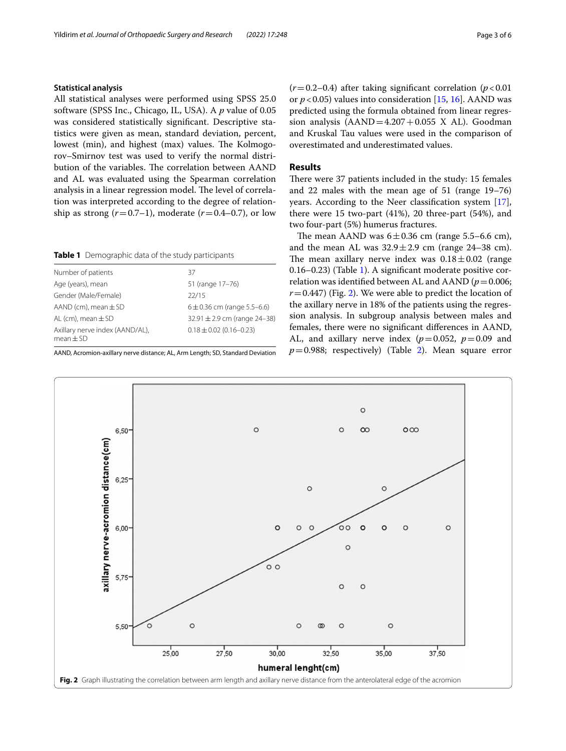# **Statistical analysis**

All statistical analyses were performed using SPSS 25.0 software (SPSS Inc., Chicago, IL, USA). A *p* value of 0.05 was considered statistically signifcant. Descriptive statistics were given as mean, standard deviation, percent, lowest (min), and highest (max) values. The Kolmogorov–Smirnov test was used to verify the normal distribution of the variables. The correlation between AAND and AL was evaluated using the Spearman correlation analysis in a linear regression model. The level of correlation was interpreted according to the degree of relationship as strong  $(r=0.7-1)$ , moderate  $(r=0.4-0.7)$ , or low

<span id="page-2-0"></span>**Table 1** Demographic data of the study participants

| Number of patients                               | 37                              |
|--------------------------------------------------|---------------------------------|
| Age (years), mean                                | 51 (range 17-76)                |
| Gender (Male/Female)                             | 22/15                           |
| AAND (cm), mean $\pm$ SD                         | $6 \pm 0.36$ cm (range 5.5-6.6) |
| AL (cm), mean $\pm$ SD                           | 32.91 ± 2.9 cm (range 24-38)    |
| Axillary nerve index (AAND/AL),<br>$mean \pm SD$ | $0.18 \pm 0.02$ (0.16-0.23)     |
|                                                  |                                 |

AAND, Acromion-axillary nerve distance; AL, Arm Length; SD, Standard Deviation

 $(r=0.2-0.4)$  after taking significant correlation ( $p < 0.01$ ) or  $p < 0.05$ ) values into consideration [[15](#page-4-10), [16](#page-4-11)]. AAND was predicted using the formula obtained from linear regression analysis  $(AAND=4.207+0.055 \text{ X } AL)$ . Goodman and Kruskal Tau values were used in the comparison of overestimated and underestimated values.

## **Results**

There were 37 patients included in the study: 15 females and 22 males with the mean age of 51 (range 19–76) years. According to the Neer classifcation system [\[17](#page-4-12)], there were 15 two-part (41%), 20 three-part (54%), and two four-part (5%) humerus fractures.

The mean AAND was  $6 \pm 0.36$  cm (range 5.5–6.6 cm), and the mean AL was  $32.9 \pm 2.9$  cm (range 24–38 cm). The mean axillary nerve index was  $0.18 \pm 0.02$  (range 0.16–0.23) (Table [1](#page-2-0)). A signifcant moderate positive correlation was identified between AL and AAND ( $p = 0.006$ ;  $r=0.447$ ) (Fig. [2\)](#page-2-1). We were able to predict the location of the axillary nerve in 18% of the patients using the regression analysis. In subgroup analysis between males and females, there were no signifcant diferences in AAND, AL, and axillary nerve index  $(p=0.052, p=0.09$  and  $p=0.988$ ; respectively) (Table [2\)](#page-3-0). Mean square error

<span id="page-2-1"></span>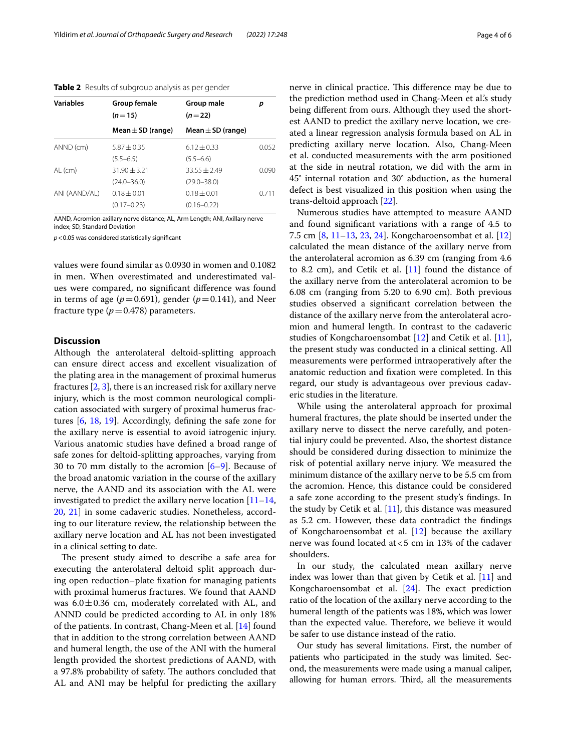#### <span id="page-3-0"></span>**Table 2** Results of subgroup analysis as per gender

| <b>Variables</b> | Group female                      | Group male                        | р     |
|------------------|-----------------------------------|-----------------------------------|-------|
|                  | $(n=15)$<br>Mean $\pm$ SD (range) | $(n=22)$<br>Mean $\pm$ SD (range) |       |
|                  |                                   |                                   |       |
| $(5.5 - 6.5)$    | $(5.5 - 6.6)$                     |                                   |       |
| $AL$ (cm)        | $31.90 + 3.21$                    | $33.55 + 2.49$                    | 0.090 |
|                  | $(24.0 - 36.0)$                   | $(29.0 - 38.0)$                   |       |
| ANI (AAND/AL)    | $0.18 + 0.01$                     | $0.18 + 0.01$                     | 0.711 |
|                  | $(0.17 - 0.23)$                   | $(0.16 - 0.22)$                   |       |

AAND, Acromion-axillary nerve distance; AL, Arm Length; ANI, Axillary nerve index; SD, Standard Deviation

*p*<0.05 was considered statistically signifcant

values were found similar as 0.0930 in women and 0.1082 in men. When overestimated and underestimated values were compared, no signifcant diference was found in terms of age  $(p=0.691)$ , gender  $(p=0.141)$ , and Neer fracture type  $(p=0.478)$  parameters.

#### **Discussion**

Although the anterolateral deltoid-splitting approach can ensure direct access and excellent visualization of the plating area in the management of proximal humerus fractures  $[2, 3]$  $[2, 3]$  $[2, 3]$  $[2, 3]$ , there is an increased risk for axillary nerve injury, which is the most common neurological complication associated with surgery of proximal humerus fractures [[6,](#page-4-5) [18](#page-4-13), [19\]](#page-4-14). Accordingly, defning the safe zone for the axillary nerve is essential to avoid iatrogenic injury. Various anatomic studies have defned a broad range of safe zones for deltoid-splitting approaches, varying from 30 to 70 mm distally to the acromion [\[6](#page-4-5)[–9](#page-4-6)]. Because of the broad anatomic variation in the course of the axillary nerve, the AAND and its association with the AL were investigated to predict the axillary nerve location  $[11-14,$  $[11-14,$  $[11-14,$ [20,](#page-4-15) [21](#page-4-16)] in some cadaveric studies. Nonetheless, according to our literature review, the relationship between the axillary nerve location and AL has not been investigated in a clinical setting to date.

The present study aimed to describe a safe area for executing the anterolateral deltoid split approach during open reduction–plate fxation for managing patients with proximal humerus fractures. We found that AAND was  $6.0 \pm 0.36$  cm, moderately correlated with AL, and ANND could be predicted according to AL in only 18% of the patients. In contrast, Chang-Meen et al. [\[14\]](#page-4-9) found that in addition to the strong correlation between AAND and humeral length, the use of the ANI with the humeral length provided the shortest predictions of AAND, with a 97.8% probability of safety. The authors concluded that AL and ANI may be helpful for predicting the axillary nerve in clinical practice. This difference may be due to the prediction method used in Chang-Meen et al.'s study being diferent from ours. Although they used the shortest AAND to predict the axillary nerve location, we created a linear regression analysis formula based on AL in predicting axillary nerve location. Also, Chang-Meen et al. conducted measurements with the arm positioned at the side in neutral rotation, we did with the arm in 45° internal rotation and 30° abduction, as the humeral defect is best visualized in this position when using the trans-deltoid approach [[22](#page-4-17)].

Numerous studies have attempted to measure AAND and found signifcant variations with a range of 4.5 to 7.5 cm [\[8](#page-4-18), [11](#page-4-8)[–13,](#page-4-19) [23,](#page-4-20) [24\]](#page-4-21). Kongcharoensombat et al. [[12](#page-4-22)] calculated the mean distance of the axillary nerve from the anterolateral acromion as 6.39 cm (ranging from 4.6 to 8.2 cm), and Cetik et al.  $[11]$  $[11]$  found the distance of the axillary nerve from the anterolateral acromion to be 6.08 cm (ranging from 5.20 to 6.90 cm). Both previous studies observed a signifcant correlation between the distance of the axillary nerve from the anterolateral acromion and humeral length. In contrast to the cadaveric studies of Kongcharoensombat [\[12](#page-4-22)] and Cetik et al. [\[11](#page-4-8)], the present study was conducted in a clinical setting. All measurements were performed intraoperatively after the anatomic reduction and fxation were completed. In this regard, our study is advantageous over previous cadaveric studies in the literature.

While using the anterolateral approach for proximal humeral fractures, the plate should be inserted under the axillary nerve to dissect the nerve carefully, and potential injury could be prevented. Also, the shortest distance should be considered during dissection to minimize the risk of potential axillary nerve injury. We measured the minimum distance of the axillary nerve to be 5.5 cm from the acromion. Hence, this distance could be considered a safe zone according to the present study's fndings. In the study by Cetik et al.  $[11]$ , this distance was measured as 5.2 cm. However, these data contradict the fndings of Kongcharoensombat et al. [\[12](#page-4-22)] because the axillary nerve was found located at<5 cm in 13% of the cadaver shoulders.

In our study, the calculated mean axillary nerve index was lower than that given by Cetik et al. [\[11\]](#page-4-8) and Kongcharoensombat et al.  $[24]$ . The exact prediction ratio of the location of the axillary nerve according to the humeral length of the patients was 18%, which was lower than the expected value. Therefore, we believe it would be safer to use distance instead of the ratio.

Our study has several limitations. First, the number of patients who participated in the study was limited. Second, the measurements were made using a manual caliper, allowing for human errors. Third, all the measurements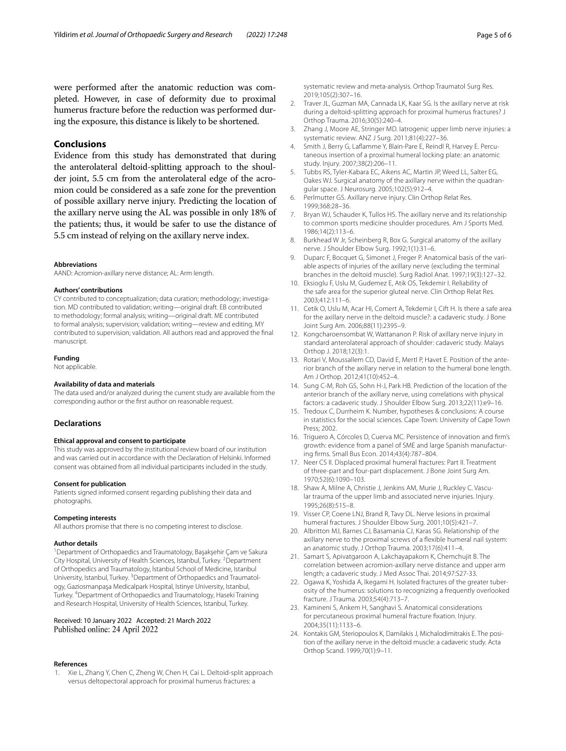were performed after the anatomic reduction was completed. However, in case of deformity due to proximal humerus fracture before the reduction was performed during the exposure, this distance is likely to be shortened.

# **Conclusions**

Evidence from this study has demonstrated that during the anterolateral deltoid-splitting approach to the shoulder joint, 5.5 cm from the anterolateral edge of the acromion could be considered as a safe zone for the prevention of possible axillary nerve injury. Predicting the location of the axillary nerve using the AL was possible in only 18% of the patients; thus, it would be safer to use the distance of 5.5 cm instead of relying on the axillary nerve index.

#### **Abbreviations**

AAND: Acromion-axillary nerve distance; AL: Arm length.

#### **Authors' contributions**

CY contributed to conceptualization; data curation; methodology; investigation. MD contributed to validation; writing—original draft. EB contributed to methodology; formal analysis; writing—original draft. ME contributed to formal analysis; supervision; validation; writing—review and editing. MY contributed to supervision; validation. All authors read and approved the fnal manuscript.

#### **Funding**

Not applicable.

#### **Availability of data and materials**

The data used and/or analyzed during the current study are available from the corresponding author or the frst author on reasonable request.

#### **Declarations**

#### **Ethical approval and consent to participate**

This study was approved by the institutional review board of our institution and was carried out in accordance with the Declaration of Helsinki. Informed consent was obtained from all individual participants included in the study.

#### **Consent for publication**

Patients signed informed consent regarding publishing their data and photographs.

#### **Competing interests**

All authors promise that there is no competing interest to disclose.

#### **Author details**

<sup>1</sup> Department of Orthopaedics and Traumatology, Başakşehir Çam ve Sakura City Hospital, University of Health Sciences, Istanbul, Turkey. <sup>2</sup> Department of Orthopedics and Traumatology, İstanbul School of Medicine, Istanbul University, Istanbul, Turkey. <sup>3</sup> Department of Orthopaedics and Traumatology, Gaziosmanpaşa Medicalpark Hospital, Istinye University, Istanbul, Turkey. 4 Department of Orthopaedics and Traumatology, Haseki Training and Research Hospital, University of Health Sciences, Istanbul, Turkey.

#### Received: 10 January 2022 Accepted: 21 March 2022 Published online: 24 April 2022

#### **References**

<span id="page-4-0"></span>1. Xie L, Zhang Y, Chen C, Zheng W, Chen H, Cai L. Deltoid-split approach versus deltopectoral approach for proximal humerus fractures: a

systematic review and meta-analysis. Orthop Traumatol Surg Res. 2019;105(2):307–16.

- <span id="page-4-1"></span>2. Traver JL, Guzman MA, Cannada LK, Kaar SG. Is the axillary nerve at risk during a deltoid-splitting approach for proximal humerus fractures? J Orthop Trauma. 2016;30(5):240–4.
- <span id="page-4-2"></span>3. Zhang J, Moore AE, Stringer MD. Iatrogenic upper limb nerve injuries: a systematic review. ANZ J Surg. 2011;81(4):227–36.
- <span id="page-4-3"></span>4. Smith J, Berry G, Lafamme Y, Blain-Pare E, Reindl R, Harvey E. Percutaneous insertion of a proximal humeral locking plate: an anatomic study. Injury. 2007;38(2):206–11.
- <span id="page-4-4"></span>5. Tubbs RS, Tyler-Kabara EC, Aikens AC, Martin JP, Weed LL, Salter EG, Oakes WJ. Surgical anatomy of the axillary nerve within the quadrangular space. J Neurosurg. 2005;102(5):912–4.
- <span id="page-4-5"></span>6. Perlmutter GS. Axillary nerve injury. Clin Orthop Relat Res. 1999;368:28–36.
- 7. Bryan WJ, Schauder K, Tullos HS. The axillary nerve and its relationship to common sports medicine shoulder procedures. Am J Sports Med. 1986;14(2):113–6.
- <span id="page-4-18"></span>8. Burkhead W Jr, Scheinberg R, Box G. Surgical anatomy of the axillary nerve. J Shoulder Elbow Surg. 1992;1(1):31–6.
- <span id="page-4-6"></span>9. Duparc F, Bocquet G, Simonet J, Freger P. Anatomical basis of the variable aspects of injuries of the axillary nerve (excluding the terminal branches in the deltoid muscle). Surg Radiol Anat. 1997;19(3):127–32.
- <span id="page-4-7"></span>10. Eksioglu F, Uslu M, Gudemez E, Atik OS, Tekdemir I. Reliability of the safe area for the superior gluteal nerve. Clin Orthop Relat Res. 2003;412:111–6.
- <span id="page-4-8"></span>11. Cetik O, Uslu M, Acar HI, Comert A, Tekdemir I, Cift H. Is there a safe area for the axillary nerve in the deltoid muscle?: a cadaveric study. J Bone Joint Surg Am. 2006;88(11):2395–9.
- <span id="page-4-22"></span>12. Kongcharoensombat W, Wattananon P. Risk of axillary nerve injury in standard anterolateral approach of shoulder: cadaveric study. Malays Orthop J. 2018;12(3):1.
- <span id="page-4-19"></span>13. Rotari V, Moussallem CD, David E, Mertl P, Havet E. Position of the anterior branch of the axillary nerve in relation to the humeral bone length. Am J Orthop. 2012;41(10):452–4.
- <span id="page-4-9"></span>14. Sung C-M, Roh GS, Sohn H-J, Park HB. Prediction of the location of the anterior branch of the axillary nerve, using correlations with physical factors: a cadaveric study. J Shoulder Elbow Surg. 2013;22(11):e9–16.
- <span id="page-4-10"></span>15. Tredoux C, Durrheim K. Number, hypotheses & conclusions: A course in statistics for the social sciences. Cape Town: University of Cape Town Press; 2002.
- <span id="page-4-11"></span>16. Triguero A, Córcoles D, Cuerva MC. Persistence of innovation and frm's growth: evidence from a panel of SME and large Spanish manufacturing frms. Small Bus Econ. 2014;43(4):787–804.
- <span id="page-4-12"></span>17. Neer CS II. Displaced proximal humeral fractures: Part II. Treatment of three-part and four-part displacement. J Bone Joint Surg Am. 1970;52(6):1090–103.
- <span id="page-4-13"></span>18. Shaw A, Milne A, Christie J, Jenkins AM, Murie J, Ruckley C. Vascular trauma of the upper limb and associated nerve injuries. Injury. 1995;26(8):515–8.
- <span id="page-4-14"></span>19. Visser CP, Coene LNJ, Brand R, Tavy DL. Nerve lesions in proximal humeral fractures. J Shoulder Elbow Surg. 2001;10(5):421–7.
- <span id="page-4-15"></span>20. Albritton MJ, Barnes CJ, Basamania CJ, Karas SG. Relationship of the axillary nerve to the proximal screws of a fexible humeral nail system: an anatomic study. J Orthop Trauma. 2003;17(6):411–4.
- <span id="page-4-16"></span>21. Samart S, Apivatgaroon A, Lakchayapakorn K, Chemchujit B. The correlation between acromion-axillary nerve distance and upper arm length; a cadaveric study. J Med Assoc Thai. 2014;97:S27-33.
- <span id="page-4-17"></span>22. Ogawa K, Yoshida A, Ikegami H. Isolated fractures of the greater tuberosity of the humerus: solutions to recognizing a frequently overlooked fracture. J Trauma. 2003;54(4):713–7.
- <span id="page-4-20"></span>23. Kamineni S, Ankem H, Sanghavi S. Anatomical considerations for percutaneous proximal humeral fracture fxation. Injury. 2004;35(11):1133–6.
- <span id="page-4-21"></span>24. Kontakis GM, Steriopoulos K, Damilakis J, Michalodimitrakis E. The position of the axillary nerve in the deltoid muscle: a cadaveric study. Acta Orthop Scand. 1999;70(1):9–11.